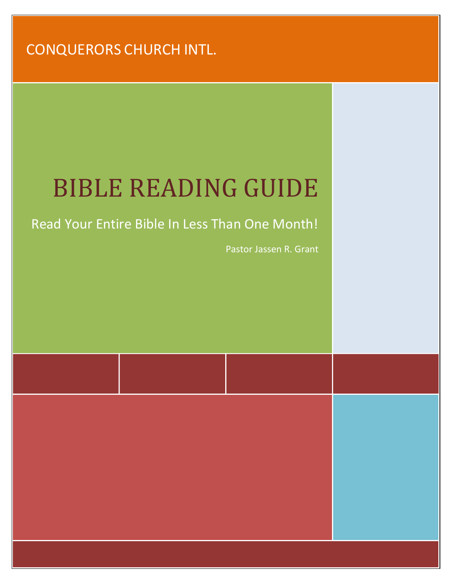#### CONQUERORS CHURCH INTL.

# BIBLE READING GUIDE

#### Read Your Entire Bible In Less Than One Month!

Pastor Jassen R. Grant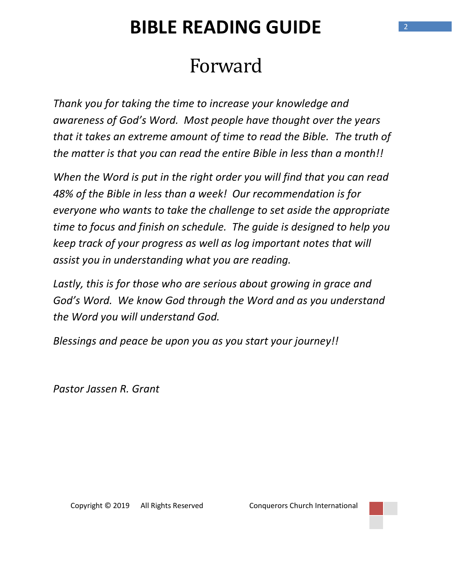# Forward

Thank you for taking the time to increase your knowledge and awareness of God's Word. Most people have thought over the years that it takes an extreme amount of time to read the Bible. The truth of the matter is that you can read the entire Bible in less than a month!!

When the Word is put in the right order you will find that you can read 48% of the Bible in less than a week! Our recommendation is for everyone who wants to take the challenge to set aside the appropriate time to focus and finish on schedule. The guide is designed to help you keep track of your progress as well as log important notes that will assist you in understanding what you are reading.

Lastly, this is for those who are serious about growing in grace and God's Word. We know God through the Word and as you understand the Word you will understand God.

Blessings and peace be upon you as you start your journey!!

Pastor Jassen R. Grant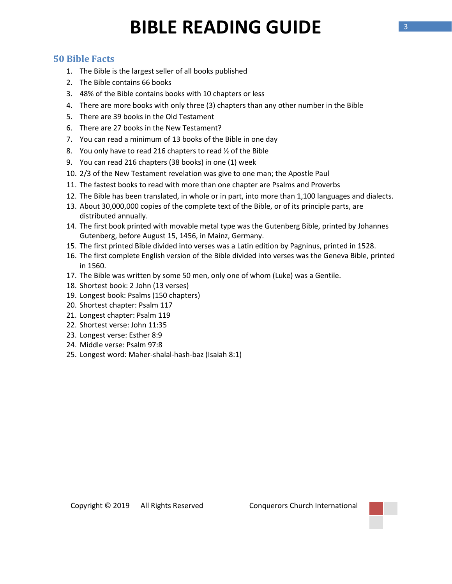#### 50 Bible Facts

- 1. The Bible is the largest seller of all books published
- 2. The Bible contains 66 books
- 3. 48% of the Bible contains books with 10 chapters or less
- 4. There are more books with only three (3) chapters than any other number in the Bible
- 5. There are 39 books in the Old Testament
- 6. There are 27 books in the New Testament?
- 7. You can read a minimum of 13 books of the Bible in one day
- 8. You only have to read 216 chapters to read ½ of the Bible
- 9. You can read 216 chapters (38 books) in one (1) week
- 10. 2/3 of the New Testament revelation was give to one man; the Apostle Paul
- 11. The fastest books to read with more than one chapter are Psalms and Proverbs
- 12. The Bible has been translated, in whole or in part, into more than 1,100 languages and dialects.
- 13. About 30,000,000 copies of the complete text of the Bible, or of its principle parts, are distributed annually.
- 14. The first book printed with movable metal type was the Gutenberg Bible, printed by Johannes Gutenberg, before August 15, 1456, in Mainz, Germany.
- 15. The first printed Bible divided into verses was a Latin edition by Pagninus, printed in 1528.
- 16. The first complete English version of the Bible divided into verses was the Geneva Bible, printed in 1560.
- 17. The Bible was written by some 50 men, only one of whom (Luke) was a Gentile.
- 18. Shortest book: 2 John (13 verses)
- 19. Longest book: Psalms (150 chapters)
- 20. Shortest chapter: Psalm 117
- 21. Longest chapter: Psalm 119
- 22. Shortest verse: John 11:35
- 23. Longest verse: Esther 8:9
- 24. Middle verse: Psalm 97:8
- 25. Longest word: Maher-shalal-hash-baz (Isaiah 8:1)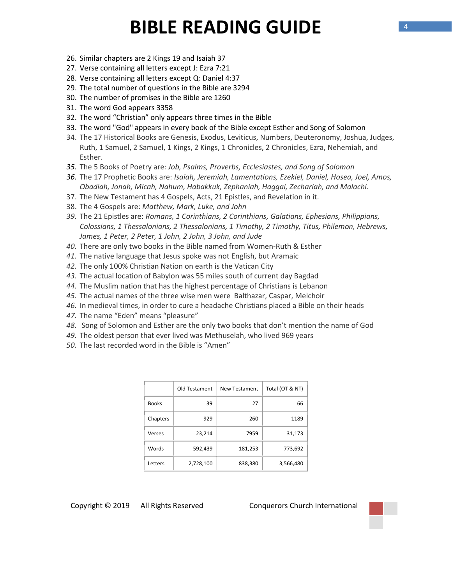- 26. Similar chapters are 2 Kings 19 and Isaiah 37
- 27. Verse containing all letters except J: Ezra 7:21
- 28. Verse containing all letters except Q: Daniel 4:37
- 29. The total number of questions in the Bible are 3294
- 30. The number of promises in the Bible are 1260
- 31. The word God appears 3358
- 32. The word "Christian" only appears three times in the Bible
- 33. The word "God" appears in every book of the Bible except Esther and Song of Solomon
- 34. The 17 Historical Books are Genesis, Exodus, Leviticus, Numbers, Deuteronomy, Joshua, Judges, Ruth, 1 Samuel, 2 Samuel, 1 Kings, 2 Kings, 1 Chronicles, 2 Chronicles, Ezra, Nehemiah, and Esther.
- 35. The 5 Books of Poetry are: Job, Psalms, Proverbs, Ecclesiastes, and Song of Solomon
- 36. The 17 Prophetic Books are: Isaiah, Jeremiah, Lamentations, Ezekiel, Daniel, Hosea, Joel, Amos, Obadiah, Jonah, Micah, Nahum, Habakkuk, Zephaniah, Haggai, Zechariah, and Malachi.
- 37. The New Testament has 4 Gospels, Acts, 21 Epistles, and Revelation in it.
- 38. The 4 Gospels are: Matthew, Mark, Luke, and John
- 39. The 21 Epistles are: Romans, 1 Corinthians, 2 Corinthians, Galatians, Ephesians, Philippians, Colossians, 1 Thessalonians, 2 Thessalonians, 1 Timothy, 2 Timothy, Titus, Philemon, Hebrews, James, 1 Peter, 2 Peter, 1 John, 2 John, 3 John, and Jude
- 40. There are only two books in the Bible named from Women-Ruth & Esther
- 41. The native language that Jesus spoke was not English, but Aramaic
- 42. The only 100% Christian Nation on earth is the Vatican City
- 43. The actual location of Babylon was 55 miles south of current day Bagdad
- 44. The Muslim nation that has the highest percentage of Christians is Lebanon
- 45. The actual names of the three wise men were Balthazar, Caspar, Melchoir
- 46. In medieval times, in order to cure a headache Christians placed a Bible on their heads
- 47. The name "Eden" means "pleasure"
- 48. Song of Solomon and Esther are the only two books that don't mention the name of God
- 49. The oldest person that ever lived was Methuselah, who lived 969 years
- 50. The last recorded word in the Bible is "Amen"

|              | Old Testament | <b>New Testament</b> | Total (OT & NT) |
|--------------|---------------|----------------------|-----------------|
| <b>Books</b> | 39            | 27                   | 66              |
| Chapters     | 929           | 260                  | 1189            |
| Verses       | 23,214        | 7959                 | 31,173          |
| Words        | 592,439       | 181,253              | 773,692         |
| Letters      | 2,728,100     | 838,380              | 3,566,480       |

Copyright © 2019 All Rights Reserved Conquerors Church International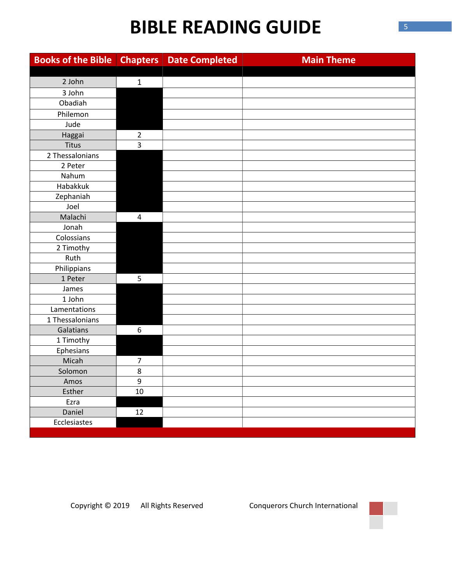| <b>Books of the Bible</b> | <b>Chapters</b> | <b>Date Completed</b> | <b>Main Theme</b> |
|---------------------------|-----------------|-----------------------|-------------------|
|                           |                 |                       |                   |
| 2 John                    | $\mathbf{1}$    |                       |                   |
| 3 John                    |                 |                       |                   |
| Obadiah                   |                 |                       |                   |
| Philemon                  |                 |                       |                   |
| Jude                      |                 |                       |                   |
| Haggai                    | $\overline{2}$  |                       |                   |
| Titus                     | $\overline{3}$  |                       |                   |
| 2 Thessalonians           |                 |                       |                   |
| 2 Peter                   |                 |                       |                   |
| Nahum                     |                 |                       |                   |
| Habakkuk                  |                 |                       |                   |
| Zephaniah                 |                 |                       |                   |
| Joel                      |                 |                       |                   |
| Malachi                   | $\overline{4}$  |                       |                   |
| Jonah                     |                 |                       |                   |
| Colossians                |                 |                       |                   |
| 2 Timothy                 |                 |                       |                   |
| Ruth                      |                 |                       |                   |
| Philippians               |                 |                       |                   |
| 1 Peter                   | 5               |                       |                   |
| James                     |                 |                       |                   |
| 1 John                    |                 |                       |                   |
| Lamentations              |                 |                       |                   |
| 1 Thessalonians           |                 |                       |                   |
| Galatians                 | 6               |                       |                   |
| 1 Timothy                 |                 |                       |                   |
| Ephesians                 |                 |                       |                   |
| Micah                     | $\overline{7}$  |                       |                   |
| Solomon                   | 8               |                       |                   |
| Amos                      | $\overline{9}$  |                       |                   |
| Esther                    | 10              |                       |                   |
| Ezra                      |                 |                       |                   |
| Daniel                    | 12              |                       |                   |
| Ecclesiastes              |                 |                       |                   |